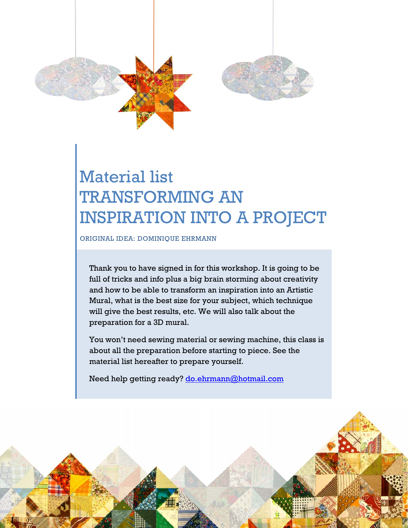

## Material list TRANSFORMING AN INSPIRATION INTO A PROJECT

ORIGINAL IDEA: DOMINIQUE EHRMANN

Thank you to have signed in for this workshop. It is going to be full of tricks and info plus a big brain storming about creativity and how to be able to transform an inspiration into an Artistic Mural, what is the best size for your subject, which technique will give the best results, etc. We will also talk about the preparation for a 3D mural.

You won't need sewing material or sewing machine, this class is about all the preparation before starting to piece. See the material list hereafter to prepare yourself.

Need help getting ready? do.ehrmann@hotmail.com

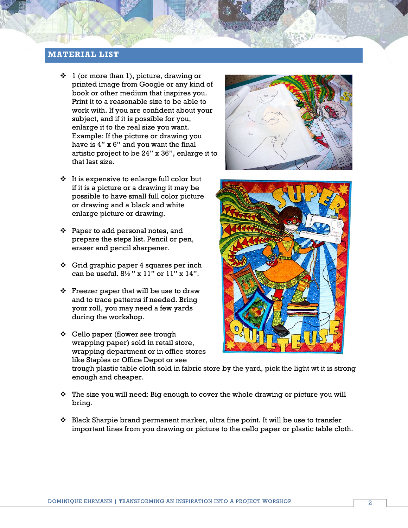## **MATERIAL LIST**

- $\div$  1 (or more than 1), picture, drawing or printed image from Google or any kind of book or other medium that inspires you. Print it to a reasonable size to be able to work with. If you are confident about your subject, and if it is possible for you, enlarge it to the real size you want. Example: If the picture or drawing you have is 4" x 6" and you want the final artistic project to be 24" x 36", enlarge it to that last size.
- $\cdot \cdot$  It is expensive to enlarge full color but if it is a picture or a drawing it may be possible to have small full color picture or drawing and a black and white enlarge picture or drawing.
- $\div$  Paper to add personal notes, and prepare the steps list. Pencil or pen, eraser and pencil sharpener.
- $\div$  Grid graphic paper 4 squares per inch can be useful.  $8\frac{1}{2}$ " x 11" or 11" x 14".
- $\div$  Freezer paper that will be use to draw and to trace patterns if needed. Bring your roll, you may need a few yards during the workshop.
- Cello paper (flower see trough wrapping paper) sold in retail store, wrapping department or in office stores like Staples or Office Depot or see





trough plastic table cloth sold in fabric store by the yard, pick the light wt it is strong enough and cheaper.

- $\hat{P}$  The size you will need: Big enough to cover the whole drawing or picture you will bring.
- $\div$  Black Sharpie brand permanent marker, ultra fine point. It will be use to transfer important lines from you drawing or picture to the cello paper or plastic table cloth.